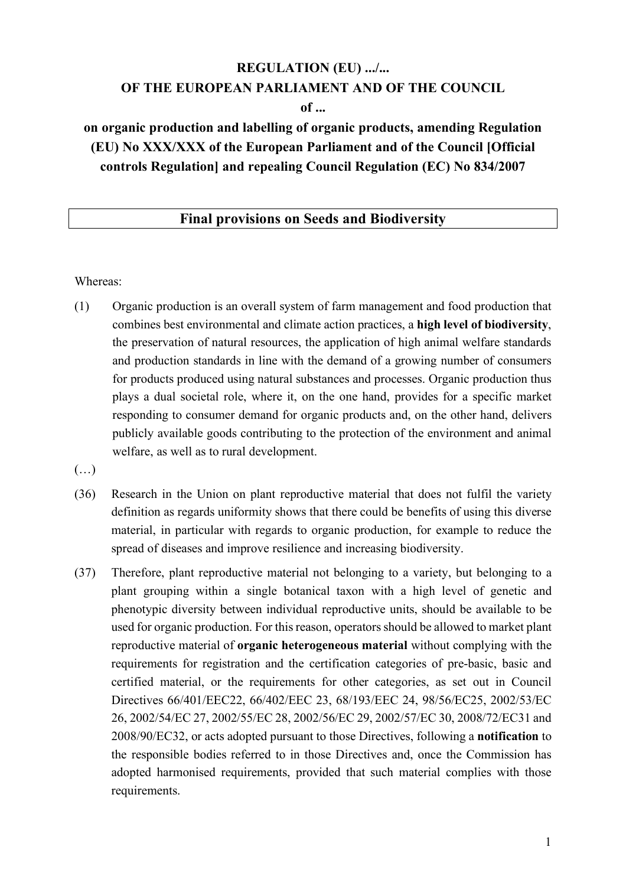# **REGULATION (EU) .../... OF THE EUROPEAN PARLIAMENT AND OF THE COUNCIL of ...**

# **on organic production and labelling of organic products, amending Regulation (EU) No XXX/XXX of the European Parliament and of the Council [Official controls Regulation] and repealing Council Regulation (EC) No 834/2007**

#### **Final provisions on Seeds and Biodiversity**

Whereas:

- (1) Organic production is an overall system of farm management and food production that combines best environmental and climate action practices, a **high level of biodiversity**, the preservation of natural resources, the application of high animal welfare standards and production standards in line with the demand of a growing number of consumers for products produced using natural substances and processes. Organic production thus plays a dual societal role, where it, on the one hand, provides for a specific market responding to consumer demand for organic products and, on the other hand, delivers publicly available goods contributing to the protection of the environment and animal welfare, as well as to rural development.
- $(\ldots)$
- (36) Research in the Union on plant reproductive material that does not fulfil the variety definition as regards uniformity shows that there could be benefits of using this diverse material, in particular with regards to organic production, for example to reduce the spread of diseases and improve resilience and increasing biodiversity.
- (37) Therefore, plant reproductive material not belonging to a variety, but belonging to a plant grouping within a single botanical taxon with a high level of genetic and phenotypic diversity between individual reproductive units, should be available to be used for organic production. For this reason, operators should be allowed to market plant reproductive material of **organic heterogeneous material** without complying with the requirements for registration and the certification categories of pre-basic, basic and certified material, or the requirements for other categories, as set out in Council Directives 66/401/EEC22, 66/402/EEC 23, 68/193/EEC 24, 98/56/EC25, 2002/53/EC 26, 2002/54/EC 27, 2002/55/EC 28, 2002/56/EC 29, 2002/57/EC 30, 2008/72/EC31 and 2008/90/EC32, or acts adopted pursuant to those Directives, following a **notification** to the responsible bodies referred to in those Directives and, once the Commission has adopted harmonised requirements, provided that such material complies with those requirements.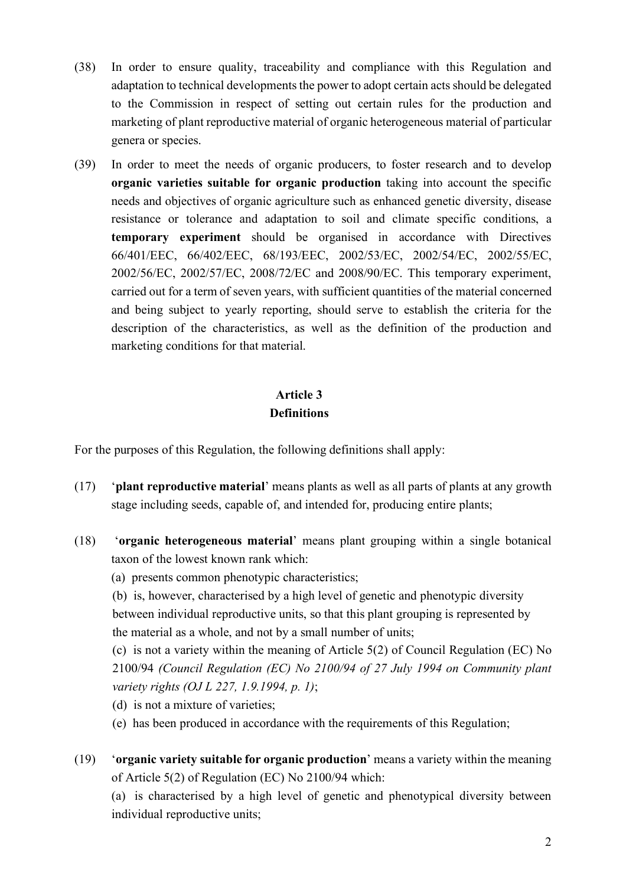- (38) In order to ensure quality, traceability and compliance with this Regulation and adaptation to technical developments the power to adopt certain acts should be delegated to the Commission in respect of setting out certain rules for the production and marketing of plant reproductive material of organic heterogeneous material of particular genera or species.
- (39) In order to meet the needs of organic producers, to foster research and to develop **organic varieties suitable for organic production** taking into account the specific needs and objectives of organic agriculture such as enhanced genetic diversity, disease resistance or tolerance and adaptation to soil and climate specific conditions, a **temporary experiment** should be organised in accordance with Directives 66/401/EEC, 66/402/EEC, 68/193/EEC, 2002/53/EC, 2002/54/EC, 2002/55/EC, 2002/56/EC, 2002/57/EC, 2008/72/EC and 2008/90/EC. This temporary experiment, carried out for a term of seven years, with sufficient quantities of the material concerned and being subject to yearly reporting, should serve to establish the criteria for the description of the characteristics, as well as the definition of the production and marketing conditions for that material.

# **Article 3 Definitions**

For the purposes of this Regulation, the following definitions shall apply:

- (17) '**plant reproductive material**' means plants as well as all parts of plants at any growth stage including seeds, capable of, and intended for, producing entire plants;
- (18) '**organic heterogeneous material**' means plant grouping within a single botanical taxon of the lowest known rank which:
	- (a) presents common phenotypic characteristics;

(b) is, however, characterised by a high level of genetic and phenotypic diversity between individual reproductive units, so that this plant grouping is represented by the material as a whole, and not by a small number of units;

(c) is not a variety within the meaning of Article 5(2) of Council Regulation (EC) No 2100/94 *(Council Regulation (EC) No 2100/94 of 27 July 1994 on Community plant variety rights (OJ L 227, 1.9.1994, p. 1)*;

- (d) is not a mixture of varieties;
- (e) has been produced in accordance with the requirements of this Regulation;
- (19) '**organic variety suitable for organic production**' means a variety within the meaning of Article 5(2) of Regulation (EC) No 2100/94 which:

(a) is characterised by a high level of genetic and phenotypical diversity between individual reproductive units;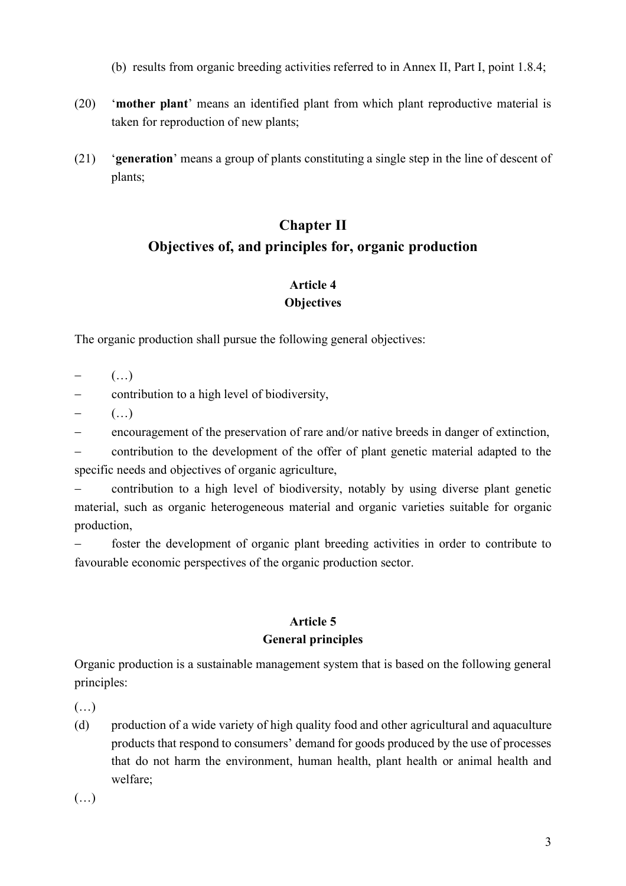- (b) results from organic breeding activities referred to in Annex II, Part I, point 1.8.4;
- (20) '**mother plant**' means an identified plant from which plant reproductive material is taken for reproduction of new plants;
- (21) '**generation**' means a group of plants constituting a single step in the line of descent of plants;

# **Chapter II Objectives of, and principles for, organic production**

### **Article 4 Objectives**

The organic production shall pursue the following general objectives:

 $-$  (...)

- contribution to a high level of biodiversity,

 $-$  (...)

- encouragement of the preservation of rare and/or native breeds in danger of extinction,

- contribution to the development of the offer of plant genetic material adapted to the specific needs and objectives of organic agriculture,

- contribution to a high level of biodiversity, notably by using diverse plant genetic material, such as organic heterogeneous material and organic varieties suitable for organic production,

foster the development of organic plant breeding activities in order to contribute to favourable economic perspectives of the organic production sector.

# **Article 5**

#### **General principles**

Organic production is a sustainable management system that is based on the following general principles:

 $(\ldots)$ 

(d) production of a wide variety of high quality food and other agricultural and aquaculture products that respond to consumers' demand for goods produced by the use of processes that do not harm the environment, human health, plant health or animal health and welfare;

(…)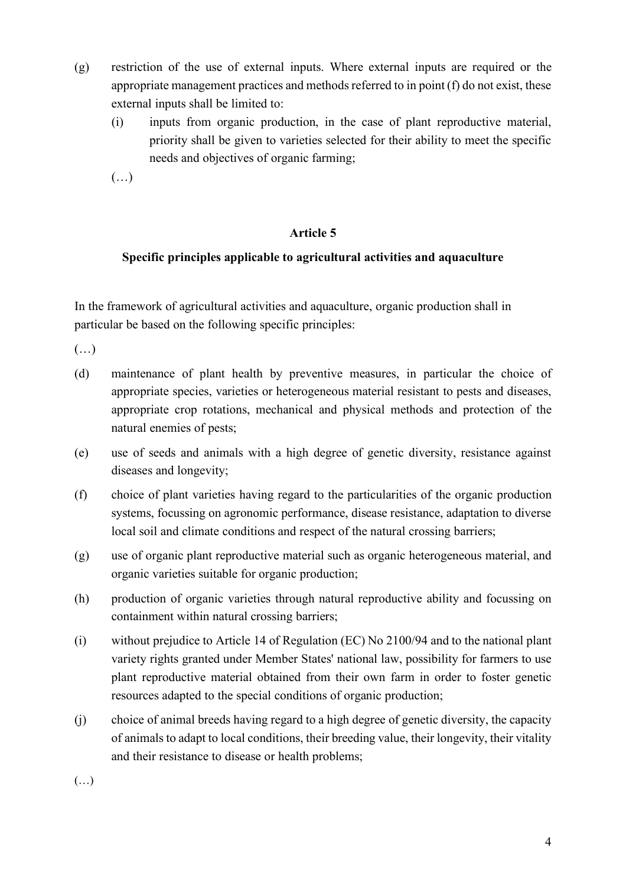- (g) restriction of the use of external inputs. Where external inputs are required or the appropriate management practices and methods referred to in point (f) do not exist, these external inputs shall be limited to:
	- (i) inputs from organic production, in the case of plant reproductive material, priority shall be given to varieties selected for their ability to meet the specific needs and objectives of organic farming;

(…)

#### **Article 5**

#### **Specific principles applicable to agricultural activities and aquaculture**

In the framework of agricultural activities and aquaculture, organic production shall in particular be based on the following specific principles:

(…)

- (d) maintenance of plant health by preventive measures, in particular the choice of appropriate species, varieties or heterogeneous material resistant to pests and diseases, appropriate crop rotations, mechanical and physical methods and protection of the natural enemies of pests;
- (e) use of seeds and animals with a high degree of genetic diversity, resistance against diseases and longevity;
- (f) choice of plant varieties having regard to the particularities of the organic production systems, focussing on agronomic performance, disease resistance, adaptation to diverse local soil and climate conditions and respect of the natural crossing barriers;
- (g) use of organic plant reproductive material such as organic heterogeneous material, and organic varieties suitable for organic production;
- (h) production of organic varieties through natural reproductive ability and focussing on containment within natural crossing barriers;
- (i) without prejudice to Article 14 of Regulation (EC) No 2100/94 and to the national plant variety rights granted under Member States' national law, possibility for farmers to use plant reproductive material obtained from their own farm in order to foster genetic resources adapted to the special conditions of organic production;
- (j) choice of animal breeds having regard to a high degree of genetic diversity, the capacity of animals to adapt to local conditions, their breeding value, their longevity, their vitality and their resistance to disease or health problems;

(…)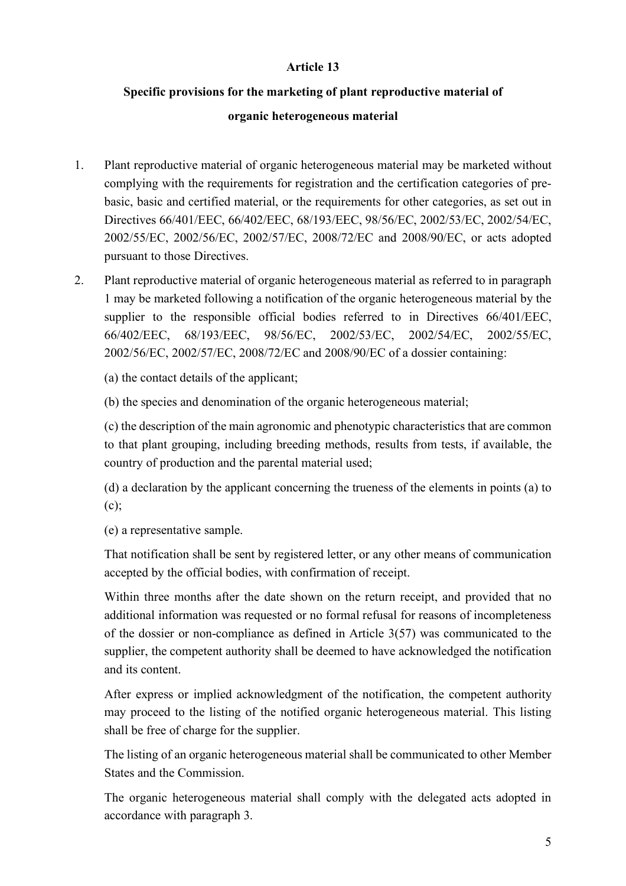#### **Article 13**

# **Specific provisions for the marketing of plant reproductive material of**

#### **organic heterogeneous material**

- 1. Plant reproductive material of organic heterogeneous material may be marketed without complying with the requirements for registration and the certification categories of prebasic, basic and certified material, or the requirements for other categories, as set out in Directives 66/401/EEC, 66/402/EEC, 68/193/EEC, 98/56/EC, 2002/53/EC, 2002/54/EC, 2002/55/EC, 2002/56/EC, 2002/57/EC, 2008/72/EC and 2008/90/EC, or acts adopted pursuant to those Directives.
- 2. Plant reproductive material of organic heterogeneous material as referred to in paragraph 1 may be marketed following a notification of the organic heterogeneous material by the supplier to the responsible official bodies referred to in Directives 66/401/EEC, 66/402/EEC, 68/193/EEC, 98/56/EC, 2002/53/EC, 2002/54/EC, 2002/55/EC, 2002/56/EC, 2002/57/EC, 2008/72/EC and 2008/90/EC of a dossier containing:

(a) the contact details of the applicant;

(b) the species and denomination of the organic heterogeneous material;

(c) the description of the main agronomic and phenotypic characteristics that are common to that plant grouping, including breeding methods, results from tests, if available, the country of production and the parental material used;

(d) a declaration by the applicant concerning the trueness of the elements in points (a) to (c);

(e) a representative sample.

That notification shall be sent by registered letter, or any other means of communication accepted by the official bodies, with confirmation of receipt.

Within three months after the date shown on the return receipt, and provided that no additional information was requested or no formal refusal for reasons of incompleteness of the dossier or non-compliance as defined in Article 3(57) was communicated to the supplier, the competent authority shall be deemed to have acknowledged the notification and its content.

After express or implied acknowledgment of the notification, the competent authority may proceed to the listing of the notified organic heterogeneous material. This listing shall be free of charge for the supplier.

The listing of an organic heterogeneous material shall be communicated to other Member States and the Commission.

The organic heterogeneous material shall comply with the delegated acts adopted in accordance with paragraph 3.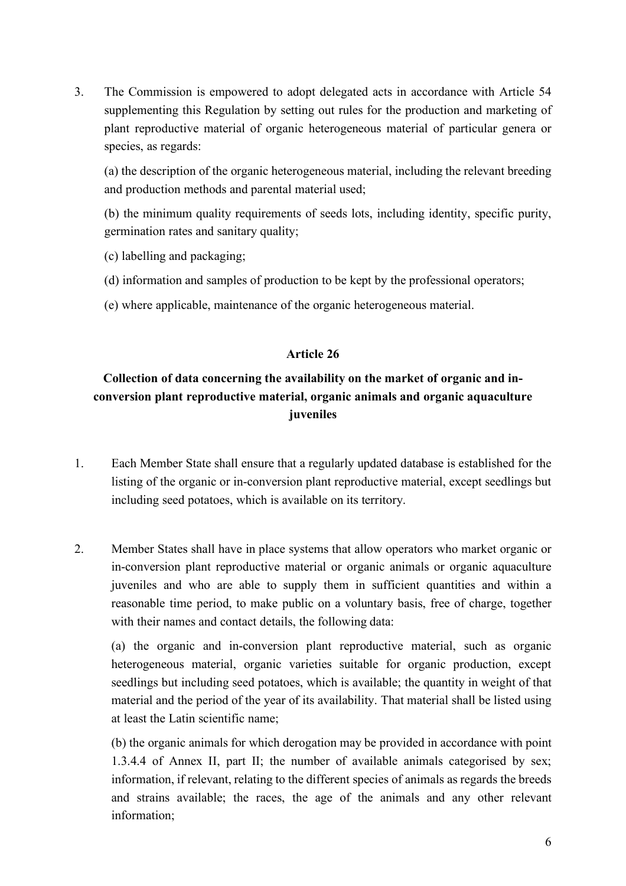3. The Commission is empowered to adopt delegated acts in accordance with Article 54 supplementing this Regulation by setting out rules for the production and marketing of plant reproductive material of organic heterogeneous material of particular genera or species, as regards:

(a) the description of the organic heterogeneous material, including the relevant breeding and production methods and parental material used;

(b) the minimum quality requirements of seeds lots, including identity, specific purity, germination rates and sanitary quality;

- (c) labelling and packaging;
- (d) information and samples of production to be kept by the professional operators;
- (e) where applicable, maintenance of the organic heterogeneous material.

#### **Article 26**

## **Collection of data concerning the availability on the market of organic and inconversion plant reproductive material, organic animals and organic aquaculture juveniles**

- 1. Each Member State shall ensure that a regularly updated database is established for the listing of the organic or in-conversion plant reproductive material, except seedlings but including seed potatoes, which is available on its territory.
- 2. Member States shall have in place systems that allow operators who market organic or in-conversion plant reproductive material or organic animals or organic aquaculture juveniles and who are able to supply them in sufficient quantities and within a reasonable time period, to make public on a voluntary basis, free of charge, together with their names and contact details, the following data:

(a) the organic and in-conversion plant reproductive material, such as organic heterogeneous material, organic varieties suitable for organic production, except seedlings but including seed potatoes, which is available; the quantity in weight of that material and the period of the year of its availability. That material shall be listed using at least the Latin scientific name;

(b) the organic animals for which derogation may be provided in accordance with point 1.3.4.4 of Annex II, part II; the number of available animals categorised by sex; information, if relevant, relating to the different species of animals as regards the breeds and strains available; the races, the age of the animals and any other relevant information;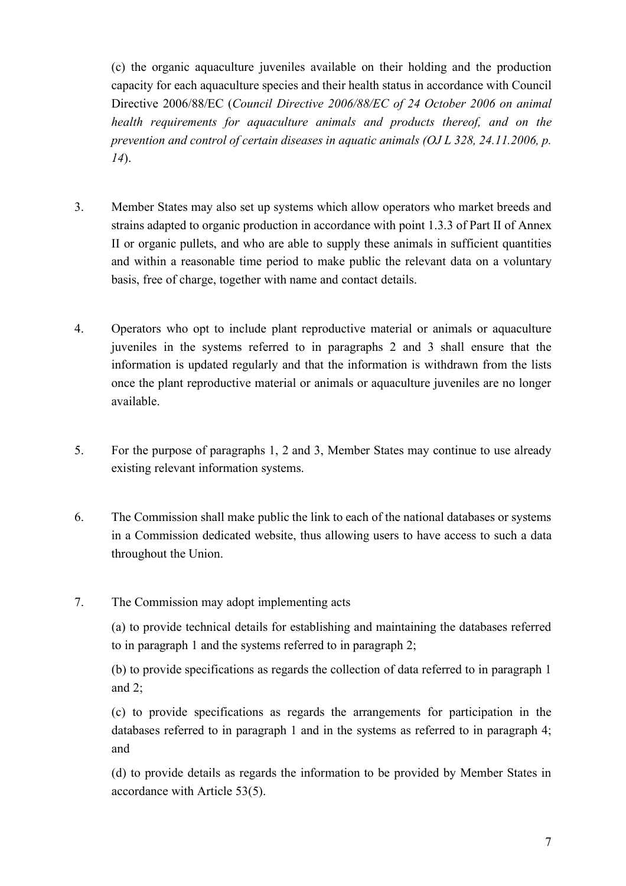(c) the organic aquaculture juveniles available on their holding and the production capacity for each aquaculture species and their health status in accordance with Council Directive 2006/88/EC (*Council Directive 2006/88/EC of 24 October 2006 on animal health requirements for aquaculture animals and products thereof, and on the prevention and control of certain diseases in aquatic animals (OJ L 328, 24.11.2006, p. 14*).

- 3. Member States may also set up systems which allow operators who market breeds and strains adapted to organic production in accordance with point 1.3.3 of Part II of Annex II or organic pullets, and who are able to supply these animals in sufficient quantities and within a reasonable time period to make public the relevant data on a voluntary basis, free of charge, together with name and contact details.
- 4. Operators who opt to include plant reproductive material or animals or aquaculture juveniles in the systems referred to in paragraphs 2 and 3 shall ensure that the information is updated regularly and that the information is withdrawn from the lists once the plant reproductive material or animals or aquaculture juveniles are no longer available.
- 5. For the purpose of paragraphs 1, 2 and 3, Member States may continue to use already existing relevant information systems.
- 6. The Commission shall make public the link to each of the national databases or systems in a Commission dedicated website, thus allowing users to have access to such a data throughout the Union.
- 7. The Commission may adopt implementing acts

(a) to provide technical details for establishing and maintaining the databases referred to in paragraph 1 and the systems referred to in paragraph 2;

(b) to provide specifications as regards the collection of data referred to in paragraph 1 and 2;

(c) to provide specifications as regards the arrangements for participation in the databases referred to in paragraph 1 and in the systems as referred to in paragraph 4; and

(d) to provide details as regards the information to be provided by Member States in accordance with Article 53(5).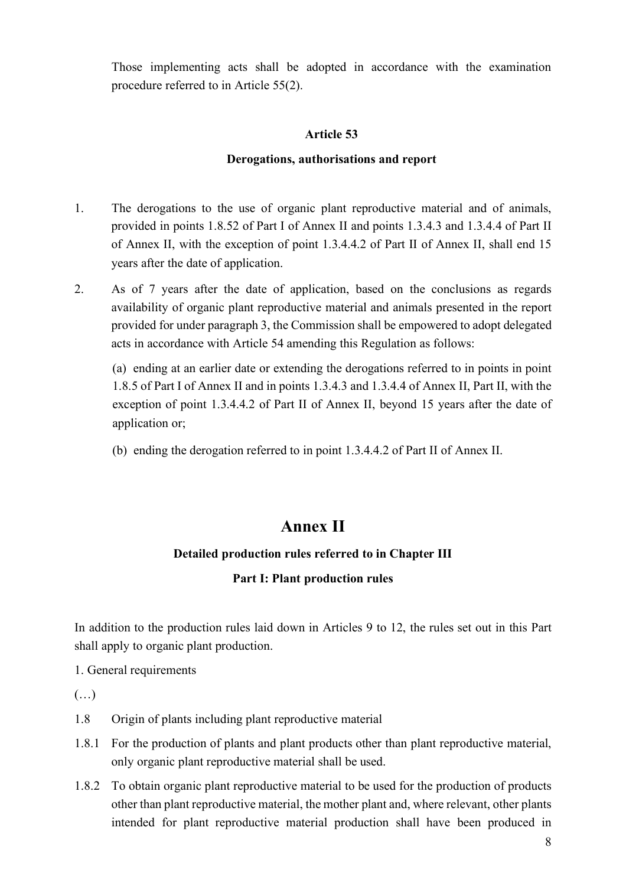Those implementing acts shall be adopted in accordance with the examination procedure referred to in Article 55(2).

#### **Article 53**

#### **Derogations, authorisations and report**

- 1. The derogations to the use of organic plant reproductive material and of animals, provided in points 1.8.52 of Part I of Annex II and points 1.3.4.3 and 1.3.4.4 of Part II of Annex II, with the exception of point 1.3.4.4.2 of Part II of Annex II, shall end 15 years after the date of application.
- 2. As of 7 years after the date of application, based on the conclusions as regards availability of organic plant reproductive material and animals presented in the report provided for under paragraph 3, the Commission shall be empowered to adopt delegated acts in accordance with Article 54 amending this Regulation as follows:

(a) ending at an earlier date or extending the derogations referred to in points in point 1.8.5 of Part I of Annex II and in points 1.3.4.3 and 1.3.4.4 of Annex II, Part II, with the exception of point 1.3.4.4.2 of Part II of Annex II, beyond 15 years after the date of application or;

(b) ending the derogation referred to in point 1.3.4.4.2 of Part II of Annex II.

# **Annex II**

#### **Detailed production rules referred to in Chapter III**

#### **Part I: Plant production rules**

In addition to the production rules laid down in Articles 9 to 12, the rules set out in this Part shall apply to organic plant production.

1. General requirements

 $(\ldots)$ 

- 1.8 Origin of plants including plant reproductive material
- 1.8.1 For the production of plants and plant products other than plant reproductive material, only organic plant reproductive material shall be used.
- 1.8.2 To obtain organic plant reproductive material to be used for the production of products other than plant reproductive material, the mother plant and, where relevant, other plants intended for plant reproductive material production shall have been produced in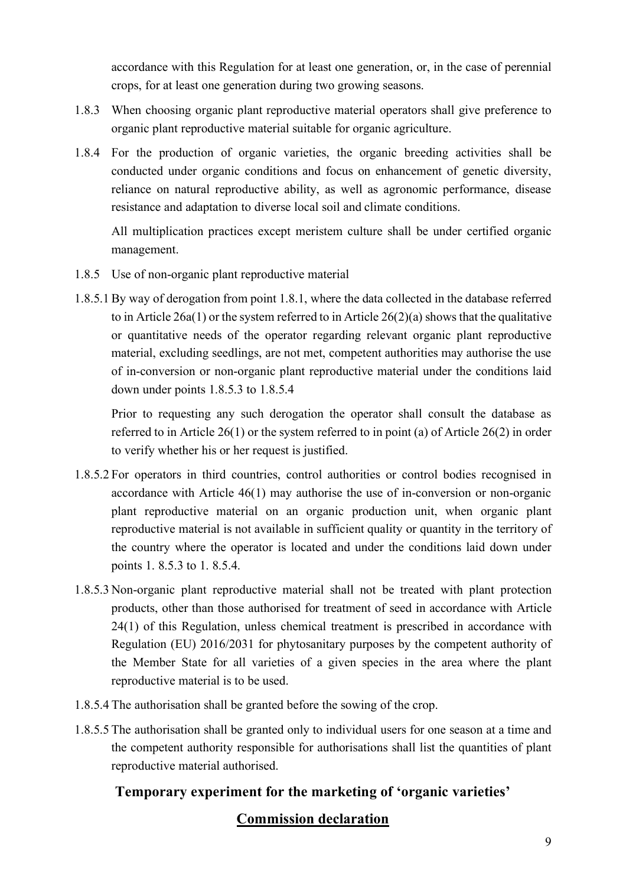accordance with this Regulation for at least one generation, or, in the case of perennial crops, for at least one generation during two growing seasons.

- 1.8.3 When choosing organic plant reproductive material operators shall give preference to organic plant reproductive material suitable for organic agriculture.
- 1.8.4 For the production of organic varieties, the organic breeding activities shall be conducted under organic conditions and focus on enhancement of genetic diversity, reliance on natural reproductive ability, as well as agronomic performance, disease resistance and adaptation to diverse local soil and climate conditions.

All multiplication practices except meristem culture shall be under certified organic management.

- 1.8.5 Use of non-organic plant reproductive material
- 1.8.5.1By way of derogation from point 1.8.1, where the data collected in the database referred to in Article 26a(1) or the system referred to in Article  $26(2)(a)$  shows that the qualitative or quantitative needs of the operator regarding relevant organic plant reproductive material, excluding seedlings, are not met, competent authorities may authorise the use of in-conversion or non-organic plant reproductive material under the conditions laid down under points 1.8.5.3 to 1.8.5.4

Prior to requesting any such derogation the operator shall consult the database as referred to in Article 26(1) or the system referred to in point (a) of Article 26(2) in order to verify whether his or her request is justified.

- 1.8.5.2 For operators in third countries, control authorities or control bodies recognised in accordance with Article 46(1) may authorise the use of in-conversion or non-organic plant reproductive material on an organic production unit, when organic plant reproductive material is not available in sufficient quality or quantity in the territory of the country where the operator is located and under the conditions laid down under points 1. 8.5.3 to 1. 8.5.4.
- 1.8.5.3 Non-organic plant reproductive material shall not be treated with plant protection products, other than those authorised for treatment of seed in accordance with Article 24(1) of this Regulation, unless chemical treatment is prescribed in accordance with Regulation (EU) 2016/2031 for phytosanitary purposes by the competent authority of the Member State for all varieties of a given species in the area where the plant reproductive material is to be used.
- 1.8.5.4 The authorisation shall be granted before the sowing of the crop.
- 1.8.5.5 The authorisation shall be granted only to individual users for one season at a time and the competent authority responsible for authorisations shall list the quantities of plant reproductive material authorised.

# **Temporary experiment for the marketing of 'organic varieties'**

# **Commission declaration**